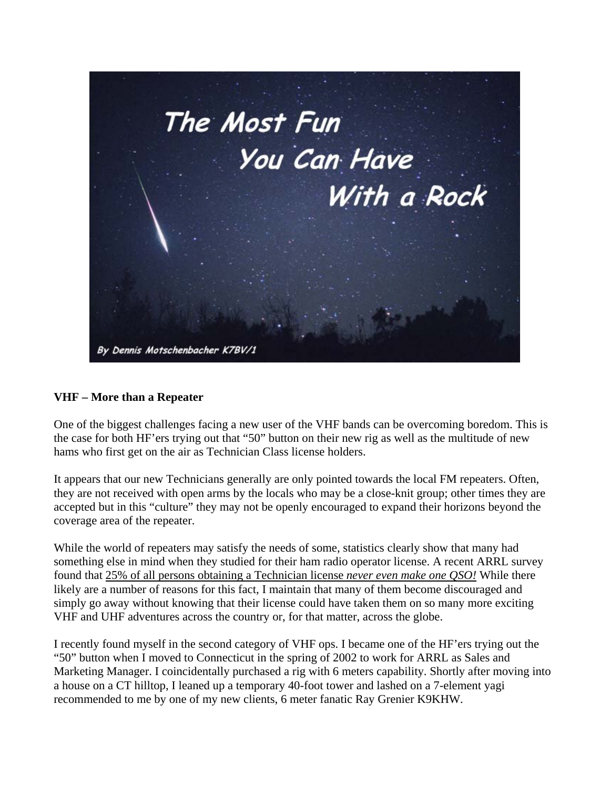

#### **VHF – More than a Repeater**

One of the biggest challenges facing a new user of the VHF bands can be overcoming boredom. This is the case for both HF'ers trying out that "50" button on their new rig as well as the multitude of new hams who first get on the air as Technician Class license holders.

It appears that our new Technicians generally are only pointed towards the local FM repeaters. Often, they are not received with open arms by the locals who may be a close-knit group; other times they are accepted but in this "culture" they may not be openly encouraged to expand their horizons beyond the coverage area of the repeater.

While the world of repeaters may satisfy the needs of some, statistics clearly show that many had something else in mind when they studied for their ham radio operator license. A recent ARRL survey found that 25% of all persons obtaining a Technician license *never even make one QSO!* While there likely are a number of reasons for this fact, I maintain that many of them become discouraged and simply go away without knowing that their license could have taken them on so many more exciting VHF and UHF adventures across the country or, for that matter, across the globe.

I recently found myself in the second category of VHF ops. I became one of the HF'ers trying out the "50" button when I moved to Connecticut in the spring of 2002 to work for ARRL as Sales and Marketing Manager. I coincidentally purchased a rig with 6 meters capability. Shortly after moving into a house on a CT hilltop, I leaned up a temporary 40-foot tower and lashed on a 7-element yagi recommended to me by one of my new clients, 6 meter fanatic Ray Grenier K9KHW.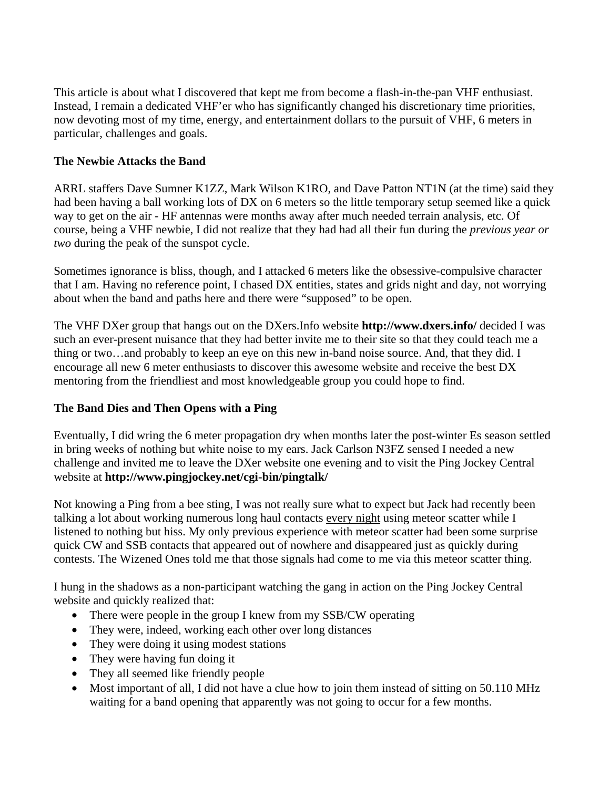This article is about what I discovered that kept me from become a flash-in-the-pan VHF enthusiast. Instead, I remain a dedicated VHF'er who has significantly changed his discretionary time priorities, now devoting most of my time, energy, and entertainment dollars to the pursuit of VHF, 6 meters in particular, challenges and goals.

## **The Newbie Attacks the Band**

ARRL staffers Dave Sumner K1ZZ, Mark Wilson K1RO, and Dave Patton NT1N (at the time) said they had been having a ball working lots of DX on 6 meters so the little temporary setup seemed like a quick way to get on the air - HF antennas were months away after much needed terrain analysis, etc. Of course, being a VHF newbie, I did not realize that they had had all their fun during the *previous year or two* during the peak of the sunspot cycle.

Sometimes ignorance is bliss, though, and I attacked 6 meters like the obsessive-compulsive character that I am. Having no reference point, I chased DX entities, states and grids night and day, not worrying about when the band and paths here and there were "supposed" to be open.

The VHF DXer group that hangs out on the DXers.Info website **http://www.dxers.info/** decided I was such an ever-present nuisance that they had better invite me to their site so that they could teach me a thing or two…and probably to keep an eye on this new in-band noise source. And, that they did. I encourage all new 6 meter enthusiasts to discover this awesome website and receive the best DX mentoring from the friendliest and most knowledgeable group you could hope to find.

# **The Band Dies and Then Opens with a Ping**

Eventually, I did wring the 6 meter propagation dry when months later the post-winter Es season settled in bring weeks of nothing but white noise to my ears. Jack Carlson N3FZ sensed I needed a new challenge and invited me to leave the DXer website one evening and to visit the Ping Jockey Central website at **http://www.pingjockey.net/cgi-bin/pingtalk/** 

Not knowing a Ping from a bee sting, I was not really sure what to expect but Jack had recently been talking a lot about working numerous long haul contacts every night using meteor scatter while I listened to nothing but hiss. My only previous experience with meteor scatter had been some surprise quick CW and SSB contacts that appeared out of nowhere and disappeared just as quickly during contests. The Wizened Ones told me that those signals had come to me via this meteor scatter thing.

I hung in the shadows as a non-participant watching the gang in action on the Ping Jockey Central website and quickly realized that:

- There were people in the group I knew from my SSB/CW operating
- They were, indeed, working each other over long distances
- They were doing it using modest stations
- They were having fun doing it
- They all seemed like friendly people
- Most important of all, I did not have a clue how to join them instead of sitting on 50.110 MHz waiting for a band opening that apparently was not going to occur for a few months.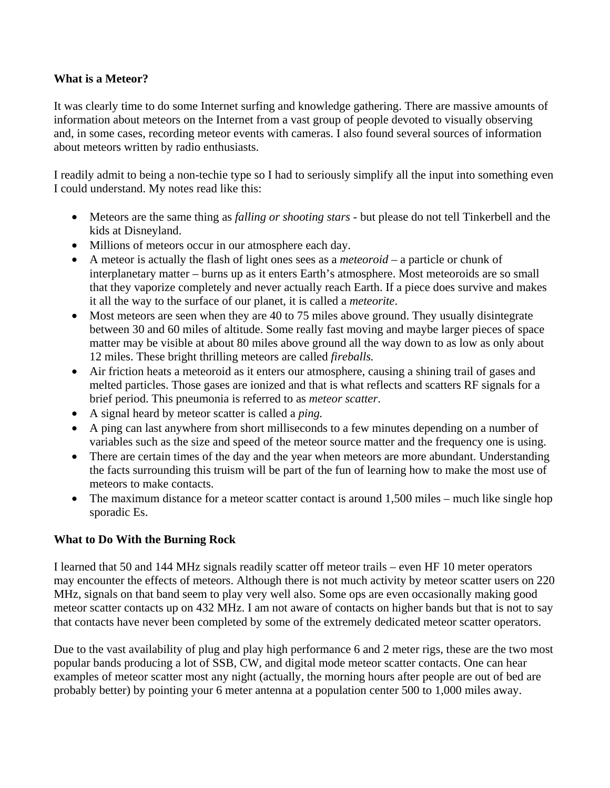#### **What is a Meteor?**

It was clearly time to do some Internet surfing and knowledge gathering. There are massive amounts of information about meteors on the Internet from a vast group of people devoted to visually observing and, in some cases, recording meteor events with cameras. I also found several sources of information about meteors written by radio enthusiasts.

I readily admit to being a non-techie type so I had to seriously simplify all the input into something even I could understand. My notes read like this:

- Meteors are the same thing as *falling or shooting stars* but please do not tell Tinkerbell and the kids at Disneyland.
- Millions of meteors occur in our atmosphere each day.
- A meteor is actually the flash of light ones sees as a *meteoroid* a particle or chunk of interplanetary matter – burns up as it enters Earth's atmosphere. Most meteoroids are so small that they vaporize completely and never actually reach Earth. If a piece does survive and makes it all the way to the surface of our planet, it is called a *meteorite*.
- Most meteors are seen when they are 40 to 75 miles above ground. They usually disintegrate between 30 and 60 miles of altitude. Some really fast moving and maybe larger pieces of space matter may be visible at about 80 miles above ground all the way down to as low as only about 12 miles. These bright thrilling meteors are called *fireballs.*
- Air friction heats a meteoroid as it enters our atmosphere, causing a shining trail of gases and melted particles. Those gases are ionized and that is what reflects and scatters RF signals for a brief period. This pneumonia is referred to as *meteor scatter*.
- A signal heard by meteor scatter is called a *ping.*
- A ping can last anywhere from short milliseconds to a few minutes depending on a number of variables such as the size and speed of the meteor source matter and the frequency one is using.
- There are certain times of the day and the year when meteors are more abundant. Understanding the facts surrounding this truism will be part of the fun of learning how to make the most use of meteors to make contacts.
- The maximum distance for a meteor scatter contact is around 1,500 miles much like single hop sporadic Es.

#### **What to Do With the Burning Rock**

I learned that 50 and 144 MHz signals readily scatter off meteor trails – even HF 10 meter operators may encounter the effects of meteors. Although there is not much activity by meteor scatter users on 220 MHz, signals on that band seem to play very well also. Some ops are even occasionally making good meteor scatter contacts up on 432 MHz. I am not aware of contacts on higher bands but that is not to say that contacts have never been completed by some of the extremely dedicated meteor scatter operators.

Due to the vast availability of plug and play high performance 6 and 2 meter rigs, these are the two most popular bands producing a lot of SSB, CW, and digital mode meteor scatter contacts. One can hear examples of meteor scatter most any night (actually, the morning hours after people are out of bed are probably better) by pointing your 6 meter antenna at a population center 500 to 1,000 miles away.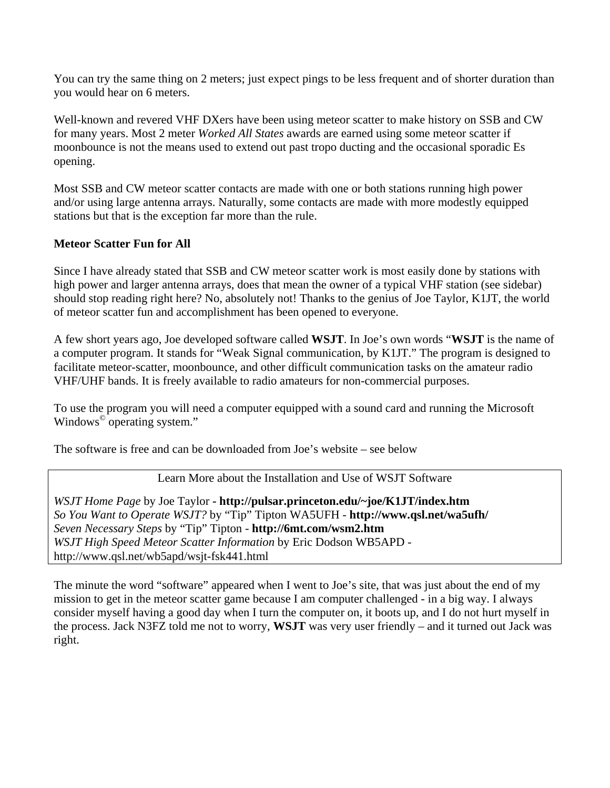You can try the same thing on 2 meters; just expect pings to be less frequent and of shorter duration than you would hear on 6 meters.

Well-known and revered VHF DXers have been using meteor scatter to make history on SSB and CW for many years. Most 2 meter *Worked All States* awards are earned using some meteor scatter if moonbounce is not the means used to extend out past tropo ducting and the occasional sporadic Es opening.

Most SSB and CW meteor scatter contacts are made with one or both stations running high power and/or using large antenna arrays. Naturally, some contacts are made with more modestly equipped stations but that is the exception far more than the rule.

#### **Meteor Scatter Fun for All**

Since I have already stated that SSB and CW meteor scatter work is most easily done by stations with high power and larger antenna arrays, does that mean the owner of a typical VHF station (see sidebar) should stop reading right here? No, absolutely not! Thanks to the genius of Joe Taylor, K1JT, the world of meteor scatter fun and accomplishment has been opened to everyone.

A few short years ago, Joe developed software called **WSJT**. In Joe's own words "**WSJT** is the name of a computer program. It stands for "Weak Signal communication, by K1JT." The program is designed to facilitate meteor-scatter, moonbounce, and other difficult communication tasks on the amateur radio VHF/UHF bands. It is freely available to radio amateurs for non-commercial purposes.

To use the program you will need a computer equipped with a sound card and running the Microsoft Windows© operating system."

The software is free and can be downloaded from Joe's website – see below

#### Learn More about the Installation and Use of WSJT Software

*WSJT Home Page* by Joe Taylor **- http://pulsar.princeton.edu/~joe/K1JT/index.htm** *So You Want to Operate WSJT?* by "Tip" Tipton WA5UFH - **http://www.qsl.net/wa5ufh/**  *Seven Necessary Steps* by "Tip" Tipton - **http://6mt.com/wsm2.htm** *WSJT High Speed Meteor Scatter Information* by Eric Dodson WB5APD http://www.qsl.net/wb5apd/wsjt-fsk441.html

The minute the word "software" appeared when I went to Joe's site, that was just about the end of my mission to get in the meteor scatter game because I am computer challenged - in a big way. I always consider myself having a good day when I turn the computer on, it boots up, and I do not hurt myself in the process. Jack N3FZ told me not to worry, **WSJT** was very user friendly – and it turned out Jack was right.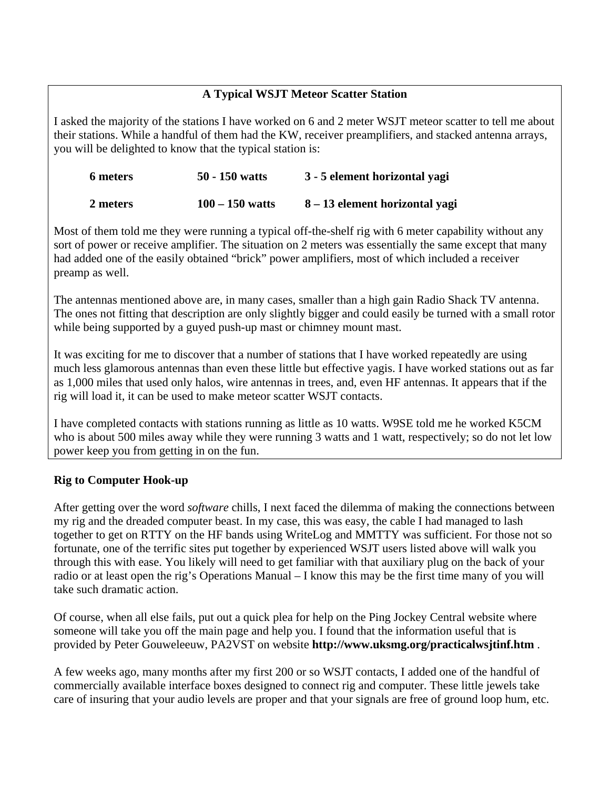## **A Typical WSJT Meteor Scatter Station**

I asked the majority of the stations I have worked on 6 and 2 meter WSJT meteor scatter to tell me about their stations. While a handful of them had the KW, receiver preamplifiers, and stacked antenna arrays, you will be delighted to know that the typical station is:

| 6 meters | $50 - 150$ watts  | 3 - 5 element horizontal yagi  |
|----------|-------------------|--------------------------------|
| 2 meters | $100 - 150$ watts | 8 – 13 element horizontal yagi |

Most of them told me they were running a typical off-the-shelf rig with 6 meter capability without any sort of power or receive amplifier. The situation on 2 meters was essentially the same except that many had added one of the easily obtained "brick" power amplifiers, most of which included a receiver preamp as well.

The antennas mentioned above are, in many cases, smaller than a high gain Radio Shack TV antenna. The ones not fitting that description are only slightly bigger and could easily be turned with a small rotor while being supported by a guyed push-up mast or chimney mount mast.

It was exciting for me to discover that a number of stations that I have worked repeatedly are using much less glamorous antennas than even these little but effective yagis. I have worked stations out as far as 1,000 miles that used only halos, wire antennas in trees, and, even HF antennas. It appears that if the rig will load it, it can be used to make meteor scatter WSJT contacts.

I have completed contacts with stations running as little as 10 watts. W9SE told me he worked K5CM who is about 500 miles away while they were running 3 watts and 1 watt, respectively; so do not let low power keep you from getting in on the fun.

#### **Rig to Computer Hook-up**

After getting over the word *software* chills, I next faced the dilemma of making the connections between my rig and the dreaded computer beast. In my case, this was easy, the cable I had managed to lash together to get on RTTY on the HF bands using WriteLog and MMTTY was sufficient. For those not so fortunate, one of the terrific sites put together by experienced WSJT users listed above will walk you through this with ease. You likely will need to get familiar with that auxiliary plug on the back of your radio or at least open the rig's Operations Manual – I know this may be the first time many of you will take such dramatic action.

Of course, when all else fails, put out a quick plea for help on the Ping Jockey Central website where someone will take you off the main page and help you. I found that the information useful that is provided by Peter Gouweleeuw, PA2VST on website **http://www.uksmg.org/practicalwsjtinf.htm** .

A few weeks ago, many months after my first 200 or so WSJT contacts, I added one of the handful of commercially available interface boxes designed to connect rig and computer. These little jewels take care of insuring that your audio levels are proper and that your signals are free of ground loop hum, etc.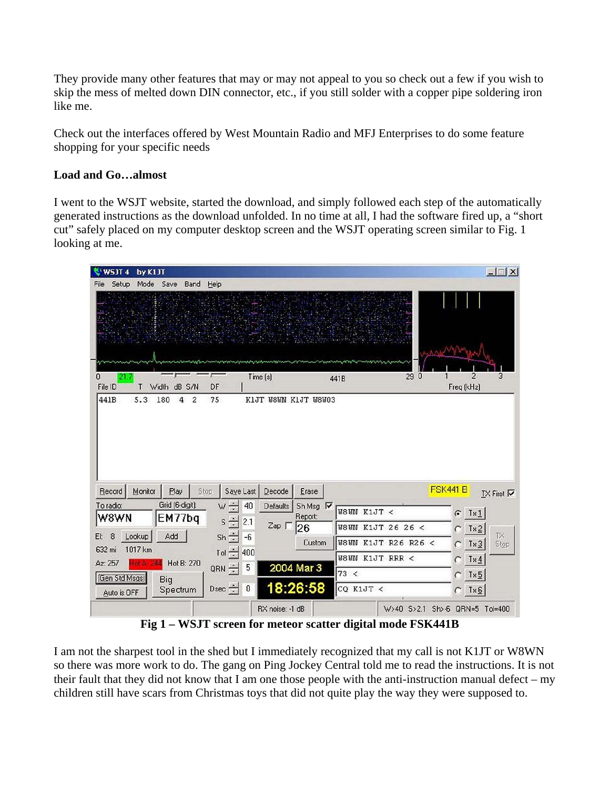They provide many other features that may or may not appeal to you so check out a few if you wish to skip the mess of melted down DIN connector, etc., if you still solder with a copper pipe soldering iron like me.

Check out the interfaces offered by West Mountain Radio and MFJ Enterprises to do some feature shopping for your specific needs

#### **Load and Go…almost**

I went to the WSJT website, started the download, and simply followed each step of the automatically generated instructions as the download unfolded. In no time at all, I had the software fired up, a "short cut" safely placed on my computer desktop screen and the WSJT operating screen similar to Fig. 1 looking at me.

| WSJT 4        | by K1JT           |                            |             |                  |                                |             |                                |         |                        | $-1$ $\Box$ $\times$ |
|---------------|-------------------|----------------------------|-------------|------------------|--------------------------------|-------------|--------------------------------|---------|------------------------|----------------------|
| Setup<br>File | Mode              | Save<br>Band               | Help        |                  |                                |             |                                |         |                        |                      |
|               |                   |                            |             |                  |                                |             |                                |         |                        |                      |
|               |                   |                            |             |                  |                                |             |                                |         |                        |                      |
|               |                   |                            |             |                  |                                |             |                                |         |                        |                      |
|               |                   |                            |             |                  |                                |             |                                |         |                        |                      |
|               |                   |                            |             |                  |                                |             |                                |         |                        |                      |
| 0<br>21.7     |                   |                            |             |                  | Time (s)                       | 441B        | $\overline{0}$<br>29           |         | 2                      | 3                    |
| File ID       | T                 | dB S/N<br>Width            | DF          |                  |                                |             |                                |         | Freq (kHz)             |                      |
| 441B          | 5.3               | 180<br>4<br>$\overline{c}$ | 75          |                  | KIJT W8WN KIJT W8W03           |             |                                |         |                        |                      |
|               |                   |                            |             |                  |                                |             |                                |         |                        |                      |
|               |                   |                            |             |                  |                                |             |                                |         |                        |                      |
|               |                   |                            |             |                  |                                |             |                                |         |                        |                      |
|               |                   |                            |             |                  |                                |             |                                |         |                        |                      |
|               |                   |                            |             |                  |                                |             |                                |         |                        |                      |
|               |                   |                            |             |                  |                                |             |                                |         |                        |                      |
| Record        | Monitor           | Play                       | Stop        | Saye Last        | Decode<br>Erase                |             |                                | FSK441B |                        | $IX$ First $\nabla$  |
| To radio:     |                   | Grid (6-digit):            | $W \div$    | 40               | Sh Msg<br><b>Defaults</b><br>⊽ |             |                                |         |                        |                      |
| W8WN          |                   | EM77bq                     | $s \div$    | 2.1              | Report:                        | W8WN K1JT < |                                |         | $G$ Tx1                |                      |
| 8             |                   | Add                        |             |                  | $Zap \Gamma$<br>26             |             | <b>W8WN K1JT 26 26 &lt;</b>    |         | $C$ Tx2                | <b>TX</b>            |
| EI:<br>632 mi | Lookup<br>1017 km |                            | $Sh \pm$    | $-6$             | Custom                         |             | <b>W8WN K1JT R26 R26 &lt;</b>  |         | $C$ Tx <sub>3</sub>    | Stop                 |
| Az: 257       |                   |                            | Tol $\div$  | 400              |                                |             | <b>W8WN K1JT RRR &lt;</b>      |         | $C$ Tx4                |                      |
|               | tell AL           | Hot B: 270                 | QRN $\div$  | 5                | 2004 Mar 3                     | 73 <        |                                |         | $C$ Tx $5$             |                      |
| Gen Std Msgs  |                   | Big                        | Dsec $\div$ | $\boldsymbol{0}$ | 18:26:58                       | CQ K1JT <   |                                |         |                        |                      |
| Auto is OFF   |                   | Spectrum                   |             |                  |                                |             |                                |         | $C$ Tx $\underline{6}$ |                      |
|               |                   |                            |             |                  | RX noise: -1 dB                |             | W>40 S>2.1 Sh>-6 QRN=5 Tol=400 |         |                        |                      |

 **Fig 1 – WSJT screen for meteor scatter digital mode FSK441B** 

I am not the sharpest tool in the shed but I immediately recognized that my call is not K1JT or W8WN so there was more work to do. The gang on Ping Jockey Central told me to read the instructions. It is not their fault that they did not know that I am one those people with the anti-instruction manual defect – my children still have scars from Christmas toys that did not quite play the way they were supposed to.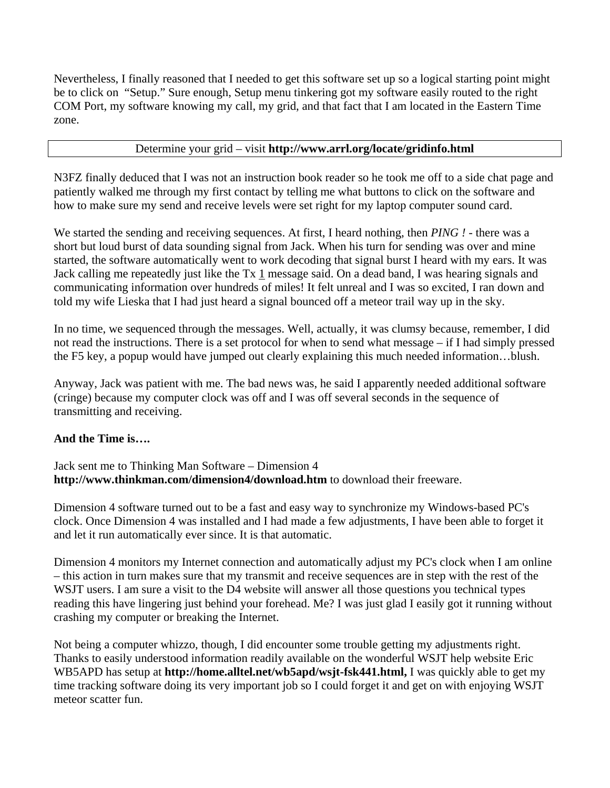Nevertheless, I finally reasoned that I needed to get this software set up so a logical starting point might be to click on "Setup." Sure enough, Setup menu tinkering got my software easily routed to the right COM Port, my software knowing my call, my grid, and that fact that I am located in the Eastern Time zone.

#### Determine your grid – visit **http://www.arrl.org/locate/gridinfo.html**

N3FZ finally deduced that I was not an instruction book reader so he took me off to a side chat page and patiently walked me through my first contact by telling me what buttons to click on the software and how to make sure my send and receive levels were set right for my laptop computer sound card.

We started the sending and receiving sequences. At first, I heard nothing, then *PING !* - there was a short but loud burst of data sounding signal from Jack. When his turn for sending was over and mine started, the software automatically went to work decoding that signal burst I heard with my ears. It was Jack calling me repeatedly just like the Tx 1 message said. On a dead band, I was hearing signals and communicating information over hundreds of miles! It felt unreal and I was so excited, I ran down and told my wife Lieska that I had just heard a signal bounced off a meteor trail way up in the sky.

In no time, we sequenced through the messages. Well, actually, it was clumsy because, remember, I did not read the instructions. There is a set protocol for when to send what message – if I had simply pressed the F5 key, a popup would have jumped out clearly explaining this much needed information…blush.

Anyway, Jack was patient with me. The bad news was, he said I apparently needed additional software (cringe) because my computer clock was off and I was off several seconds in the sequence of transmitting and receiving.

#### **And the Time is….**

Jack sent me to Thinking Man Software – Dimension 4 **http://www.thinkman.com/dimension4/download.htm** to download their freeware.

Dimension 4 software turned out to be a fast and easy way to synchronize my Windows-based PC's clock. Once Dimension 4 was installed and I had made a few adjustments, I have been able to forget it and let it run automatically ever since. It is that automatic.

Dimension 4 monitors my Internet connection and automatically adjust my PC's clock when I am online – this action in turn makes sure that my transmit and receive sequences are in step with the rest of the WSJT users. I am sure a visit to the D4 website will answer all those questions you technical types reading this have lingering just behind your forehead. Me? I was just glad I easily got it running without crashing my computer or breaking the Internet.

Not being a computer whizzo, though, I did encounter some trouble getting my adjustments right. Thanks to easily understood information readily available on the wonderful WSJT help website Eric WB5APD has setup at **http://home.alltel.net/wb5apd/wsjt-fsk441.html,** I was quickly able to get my time tracking software doing its very important job so I could forget it and get on with enjoying WSJT meteor scatter fun.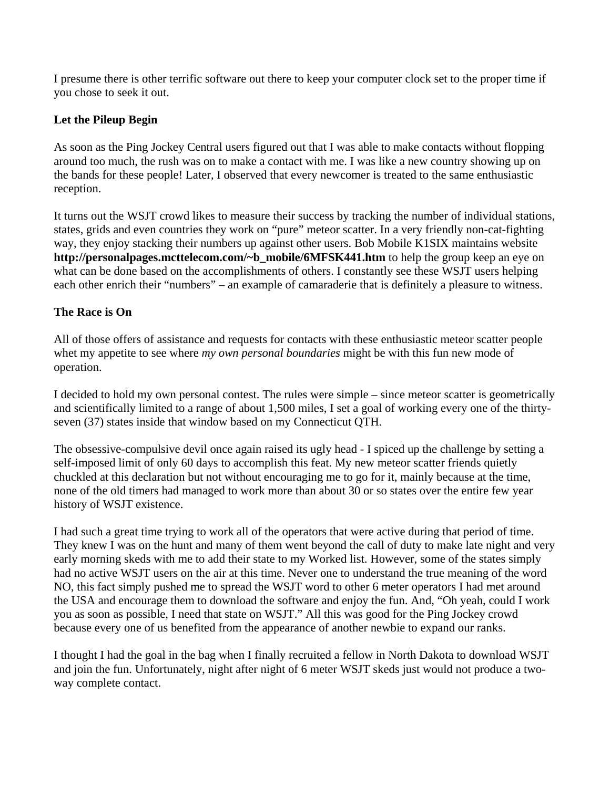I presume there is other terrific software out there to keep your computer clock set to the proper time if you chose to seek it out.

## **Let the Pileup Begin**

As soon as the Ping Jockey Central users figured out that I was able to make contacts without flopping around too much, the rush was on to make a contact with me. I was like a new country showing up on the bands for these people! Later, I observed that every newcomer is treated to the same enthusiastic reception.

It turns out the WSJT crowd likes to measure their success by tracking the number of individual stations, states, grids and even countries they work on "pure" meteor scatter. In a very friendly non-cat-fighting way, they enjoy stacking their numbers up against other users. Bob Mobile K1SIX maintains website **http://personalpages.mcttelecom.com/~b\_mobile/6MFSK441.htm** to help the group keep an eye on what can be done based on the accomplishments of others. I constantly see these WSJT users helping each other enrich their "numbers" – an example of camaraderie that is definitely a pleasure to witness.

## **The Race is On**

All of those offers of assistance and requests for contacts with these enthusiastic meteor scatter people whet my appetite to see where *my own personal boundaries* might be with this fun new mode of operation.

I decided to hold my own personal contest. The rules were simple – since meteor scatter is geometrically and scientifically limited to a range of about 1,500 miles, I set a goal of working every one of the thirtyseven (37) states inside that window based on my Connecticut QTH.

The obsessive-compulsive devil once again raised its ugly head - I spiced up the challenge by setting a self-imposed limit of only 60 days to accomplish this feat. My new meteor scatter friends quietly chuckled at this declaration but not without encouraging me to go for it, mainly because at the time, none of the old timers had managed to work more than about 30 or so states over the entire few year history of WSJT existence.

I had such a great time trying to work all of the operators that were active during that period of time. They knew I was on the hunt and many of them went beyond the call of duty to make late night and very early morning skeds with me to add their state to my Worked list. However, some of the states simply had no active WSJT users on the air at this time. Never one to understand the true meaning of the word NO, this fact simply pushed me to spread the WSJT word to other 6 meter operators I had met around the USA and encourage them to download the software and enjoy the fun. And, "Oh yeah, could I work you as soon as possible, I need that state on WSJT." All this was good for the Ping Jockey crowd because every one of us benefited from the appearance of another newbie to expand our ranks.

I thought I had the goal in the bag when I finally recruited a fellow in North Dakota to download WSJT and join the fun. Unfortunately, night after night of 6 meter WSJT skeds just would not produce a twoway complete contact.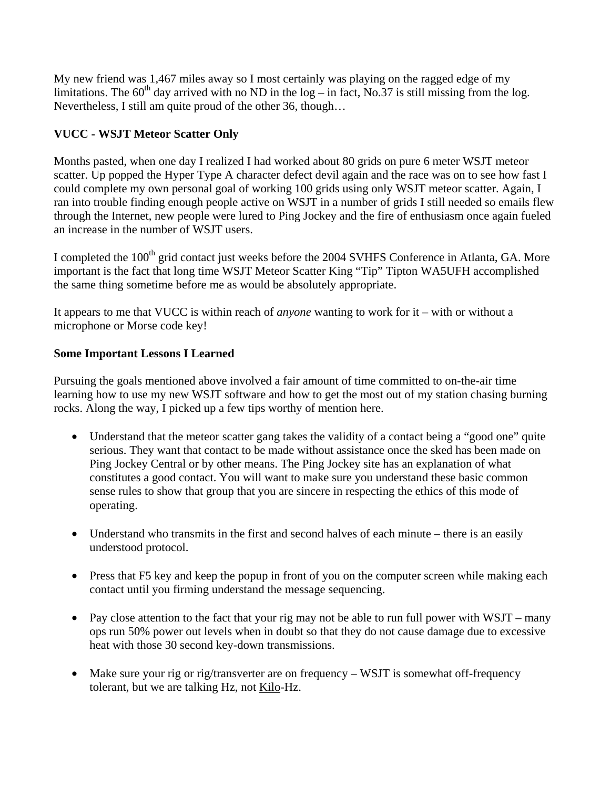My new friend was 1,467 miles away so I most certainly was playing on the ragged edge of my limitations. The  $60<sup>th</sup>$  day arrived with no ND in the log – in fact, No.37 is still missing from the log. Nevertheless, I still am quite proud of the other 36, though…

# **VUCC - WSJT Meteor Scatter Only**

Months pasted, when one day I realized I had worked about 80 grids on pure 6 meter WSJT meteor scatter. Up popped the Hyper Type A character defect devil again and the race was on to see how fast I could complete my own personal goal of working 100 grids using only WSJT meteor scatter. Again, I ran into trouble finding enough people active on WSJT in a number of grids I still needed so emails flew through the Internet, new people were lured to Ping Jockey and the fire of enthusiasm once again fueled an increase in the number of WSJT users.

I completed the 100<sup>th</sup> grid contact just weeks before the 2004 SVHFS Conference in Atlanta, GA. More important is the fact that long time WSJT Meteor Scatter King "Tip" Tipton WA5UFH accomplished the same thing sometime before me as would be absolutely appropriate.

It appears to me that VUCC is within reach of *anyone* wanting to work for it – with or without a microphone or Morse code key!

#### **Some Important Lessons I Learned**

Pursuing the goals mentioned above involved a fair amount of time committed to on-the-air time learning how to use my new WSJT software and how to get the most out of my station chasing burning rocks. Along the way, I picked up a few tips worthy of mention here.

- Understand that the meteor scatter gang takes the validity of a contact being a "good one" quite serious. They want that contact to be made without assistance once the sked has been made on Ping Jockey Central or by other means. The Ping Jockey site has an explanation of what constitutes a good contact. You will want to make sure you understand these basic common sense rules to show that group that you are sincere in respecting the ethics of this mode of operating.
- Understand who transmits in the first and second halves of each minute there is an easily understood protocol.
- Press that F5 key and keep the popup in front of you on the computer screen while making each contact until you firming understand the message sequencing.
- Pay close attention to the fact that your rig may not be able to run full power with WSJT many ops run 50% power out levels when in doubt so that they do not cause damage due to excessive heat with those 30 second key-down transmissions.
- Make sure your rig or rig/transverter are on frequency WSJT is somewhat off-frequency tolerant, but we are talking Hz, not Kilo-Hz.